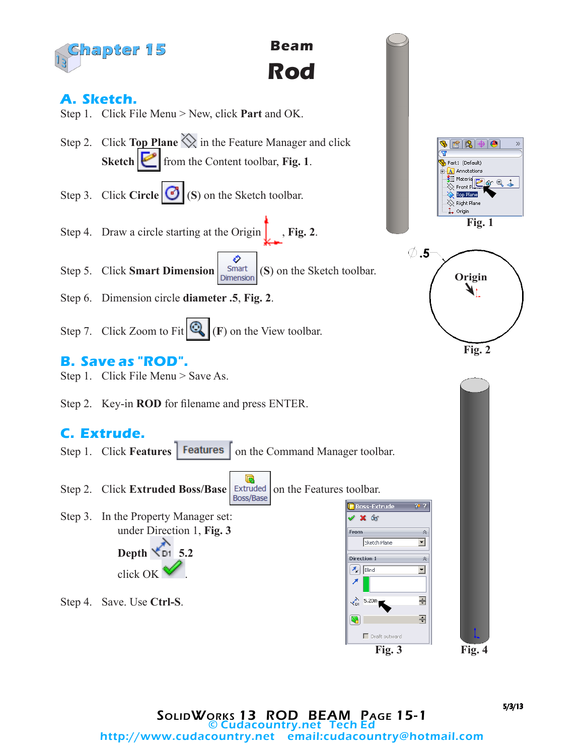

**Beam Rod**

## **A. Sketch.**

- Step 1. Click File Menu > New, click **Part** and OK.
- Step 2. Click **Top Plane**  $\Diamond$  in the Feature Manager and click **Sketch from** the Content toolbar, **Fig. 1**.
- Step 3. Click **Circle (3)** (S) on the Sketch toolbar.
- Step 4. Draw a circle starting at the Origin  $\int$ , **Fig. 2**.
- Ο Step 5. Click **Smart Dimension**  $\begin{bmatrix}$  Smart (**S**) on the Sketch toolbar.
- Step 6. Dimension circle **diameter .5**, **Fig. 2**.
- Step 7. Click Zoom to Fit  $\mathbb{Q}_+(F)$  on the View toolbar.

## **B. Save as "ROD".**

- Step 1. Click File Menu > Save As.
- Step 2. Key-in **ROD** for filename and press ENTER.

## **C. Extrude.**

- Step 1. Click **Features** | **Features** | on the Command Manager toolbar.
- G Step 2. Click **Extruded Boss/Base** Extruded on the Features toolbar. **Boss-Extrude** Step 3. In the Property Manager set:  $\mathscr{L}$   $\mathbb{X}$  60 under Direction 1, **Fig. 3** From Sketch Plane **Depth 5.2** Direction 1  $\mathcal{F}_{\mathbf{k}}$  Blind click OK .  $\overbrace{D1}$  5.20in Step 4. Save. Use **Ctrl-S**.  $\bullet$



**Fig. 2**



 $70.7$ 

 $\hat{\mathcal{R}}$  $\overline{\mathbf{r}}$ 

 $\hat{\mathcal{R}}$ 

⊡

즉 즦

 $\Box$  Draft outward